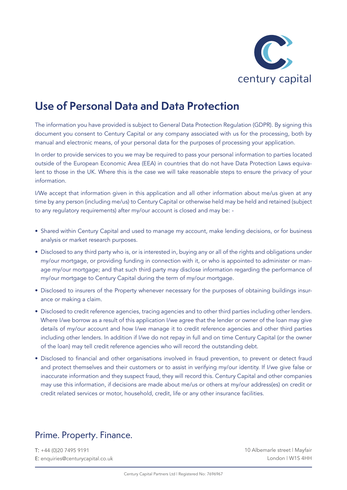

# **Use of Personal Data and Data Protection**

The information you have provided is subject to General Data Protection Regulation (GDPR). By signing this document you consent to Century Capital or any company associated with us for the processing, both by manual and electronic means, of your personal data for the purposes of processing your application.

In order to provide services to you we may be required to pass your personal information to parties located outside of the European Economic Area (EEA) in countries that do not have Data Protection Laws equivalent to those in the UK. Where this is the case we will take reasonable steps to ensure the privacy of your information.

I/We accept that information given in this application and all other information about me/us given at any time by any person (including me/us) to Century Capital or otherwise held may be held and retained (subject to any regulatory requirements) after my/our account is closed and may be: -

- Shared within Century Capital and used to manage my account, make lending decisions, or for business analysis or market research purposes.
- Disclosed to any third party who is, or is interested in, buying any or all of the rights and obligations under my/our mortgage, or providing funding in connection with it, or who is appointed to administer or manage my/our mortgage; and that such third party may disclose information regarding the performance of my/our mortgage to Century Capital during the term of my/our mortgage.
- Disclosed to insurers of the Property whenever necessary for the purposes of obtaining buildings insurance or making a claim.
- Disclosed to credit reference agencies, tracing agencies and to other third parties including other lenders. Where I/we borrow as a result of this application I/we agree that the lender or owner of the loan may give details of my/our account and how I/we manage it to credit reference agencies and other third parties including other lenders. In addition if I/we do not repay in full and on time Century Capital (or the owner of the loan) may tell credit reference agencies who will record the outstanding debt.
- Disclosed to financial and other organisations involved in fraud prevention, to prevent or detect fraud and protect themselves and their customers or to assist in verifying my/our identity. If I/we give false or inaccurate information and they suspect fraud, they will record this. Century Capital and other companies may use this information, if decisions are made about me/us or others at my/our address(es) on credit or credit related services or motor, household, credit, life or any other insurance facilities.

#### Prime. Property. Finance.

T: +44 (0)20 7495 9191 E: enquiries@centurycapital.co.uk

10 Albemarle street | Mayfair London | W1S 4HH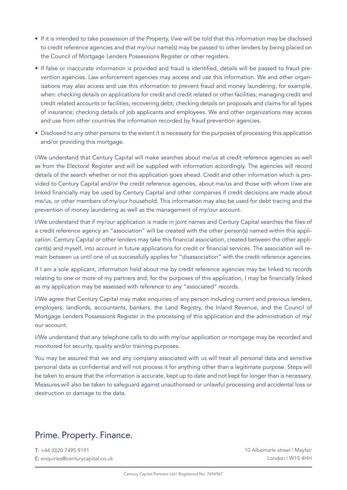- If it is intended to take possession of the Property, I/we will be told that this information may be disclosed to credit reference agencies and that my/our name(s) may be passed to other lenders by being placed on the Council of Mortgage Lenders Possessions Register or other registers.
- If false or inaccurate information is provided and fraud is identified, details will be passed to fraud prevention agencies. Law enforcement agencies may access and use this information. We and other organisations may also access and use this information to prevent fraud and money laundering, for example, when: checking details on applications for credit and credit related or other facilities; managing credit and credit related accounts or facilities; recovering debt; checking details on proposals and claims for all types of insurance; checking details of job applicants and employees. We and other organizations may access and use from other countries the information recorded by fraud prevention agencies.
- Disclosed to any other persons to the extent it is necessary for the purposes of processing this application and/or providing this mortgage.

I/We understand that Century Capital will make searches about me/us at credit reference agencies as well as from the Electoral Register and will be supplied with information accordingly. The agencies will record details of the search whether or not this application goes ahead. Credit and other information which is provided to Century Capital and/or the credit reference agencies, about me/us and those with whom I/we are linked financially may be used by Century Capital and other companies if credit decisions are made about me/us, or other members of my/our household. This information may also be used for debt tracing and the prevention of money laundering as well as the management of my/our account.

I/We understand that if my/our application is made in joint names and Century Capital searches the files of a credit reference agency an "association" will be created with the other person(s) named within this application. Century Capital or other lenders may take this financial association, created between the other applicant(s) and myself, into account in future applications for credit or financial services. The association will remain between us until one of us successfully applies for "disassociation" with the credit reference agencies.

If I am a sole applicant, information held about me by credit reference agencies may be linked to records relating to one or more of my partners and, for the purposes of this application, I may be financially linked as my application may be assessed with reference to any "associated" records.

I/We agree that Century Capital may make enquiries of any person including current and previous lenders, employers, landlords, accountants, bankers, the Land Registry, the Inland Revenue, and the Council of Mortgage Lenders Possessions Register in the processing of this application and the administration of my/ our account.

I/We understand that any telephone calls to do with my/our application or mortgage may be recorded and monitored for security, quality and/or training purposes.

You may be assured that we and any company associated with us will treat all personal data and sensitive personal data as confidential and will not process it for anything other than a legitimate purpose. Steps will be taken to ensure that the information is accurate, kept up to date and not kept for longer than is necessary. Measures will also be taken to safeguard against unauthorised or unlawful processing and accidental loss or destruction or damage to the data.

#### Prime. Property. Finance.

T: +44 (0)20 7495 9191 E: enquiries@centurycapital.co.uk

10 Albemarle street | Mayfair London | W1S 4HH